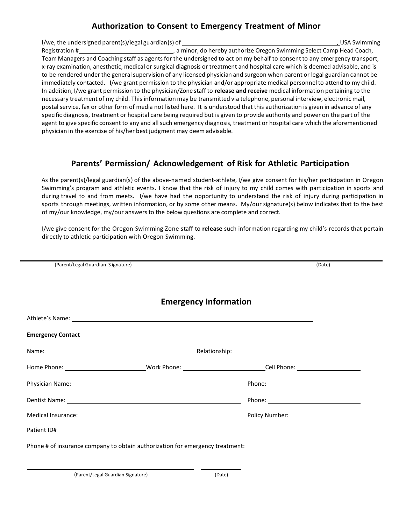## **Authorization to Consent to Emergency Treatment of Minor**

I/we, the undersigned parent(s)/legal guardian(s) of  $\blacksquare$ Registration # , and the matter of the minor, do hereby authorize Oregon Swimming Select Camp Head Coach, Team Managers and Coaching staff as agents for the undersigned to act on my behalf to consent to any emergency transport, x-ray examination, anesthetic, medical or surgical diagnosis or treatment and hospital care which is deemed advisable, and is to be rendered under the general supervision of any licensed physician and surgeon when parent or legal guardian cannot be immediately contacted. I/we grant permission to the physician and/or appropriate medical personnel to attend to my child. In addition, I/we grant permission to the physician/Zone staff to **release and receive** medical information pertaining to the necessary treatment of my child. This information may be transmitted via telephone, personal interview, electronic mail, postal service, fax or other form of media not listed here. It is understood that this authorization is given in advance of any specific diagnosis, treatment or hospital care being required but is given to provide authority and power on the part of the agent to give specific consent to any and all such emergency diagnosis, treatment or hospital care which the aforementioned physician in the exercise of his/her best judgment may deem advisable.

## **Parents' Permission/ Acknowledgement of Risk for Athletic Participation**

 As the parent(s)/legal guardian(s) of the above-named student-athlete, I/we give consent for his/her participation in Oregon Swimming's program and athletic events. I know that the risk of injury to my child comes with participation in sports and during travel to and from meets. I/we have had the opportunity to understand the risk of injury during participation in sports through meetings, written information, or by some other means. My/our signature(s) below indicates that to the best of my/our knowledge, my/our answers to the below questions are complete and correct.

 I/we give consent for the Oregon Swimming Zone staff to **release** such information regarding my child's records that pertain directly to athletic participation with Oregon Swimming.

|                          | (Parent/Legal Guardian Signature)                                                                                                                                                                                             |  | (Date) |
|--------------------------|-------------------------------------------------------------------------------------------------------------------------------------------------------------------------------------------------------------------------------|--|--------|
|                          |                                                                                                                                                                                                                               |  |        |
|                          | <b>Emergency Information</b>                                                                                                                                                                                                  |  |        |
|                          |                                                                                                                                                                                                                               |  |        |
| <b>Emergency Contact</b> |                                                                                                                                                                                                                               |  |        |
|                          |                                                                                                                                                                                                                               |  |        |
|                          |                                                                                                                                                                                                                               |  |        |
|                          | Physician Name: 1988 and 2008 and 2008 and 2008 and 2008 and 2008 and 2008 and 2008 and 2008 and 2008 and 2008                                                                                                                |  |        |
|                          |                                                                                                                                                                                                                               |  |        |
|                          | Medical Insurance: National According to the Contract of Contract of Contract of Contract of Contract of Contract of Contract of Contract of Contract of Contract of Contract of Contract of Contract of Contract of Contract |  |        |
|                          |                                                                                                                                                                                                                               |  |        |
|                          | Phone # of insurance company to obtain authorization for emergency treatment: ________________________________                                                                                                                |  |        |
|                          |                                                                                                                                                                                                                               |  |        |

(Parent/Legal Guardian Signature) (Date)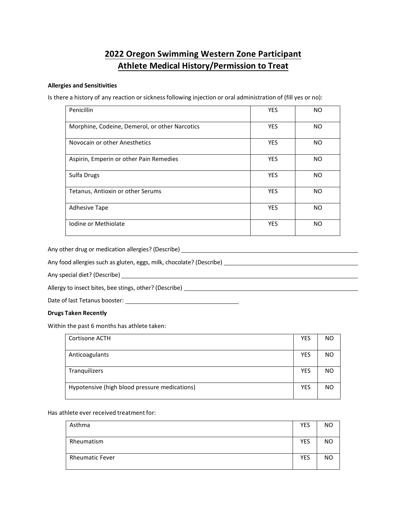# **2022 Oregon Swimming Western Zone Participant Athlete Medical History/Permission to Treat**

### **Allergies and Sensitivities**

Is there a history of any reaction or sicknessfollowing injection or oral administration of (fill yes or no):

| Penicillin                                     | <b>YES</b> | <b>NO</b> |
|------------------------------------------------|------------|-----------|
| Morphine, Codeine, Demerol, or other Narcotics | <b>YES</b> | NO.       |
| Novocain or other Anesthetics                  | <b>YES</b> | <b>NO</b> |
| Aspirin, Emperin or other Pain Remedies        | <b>YES</b> | NO.       |
| Sulfa Drugs                                    | <b>YES</b> | <b>NO</b> |
| Tetanus, Antioxin or other Serums              | <b>YES</b> | NO.       |
| <b>Adhesive Tape</b>                           | <b>YES</b> | <b>NO</b> |
| Iodine or Methiolate                           | <b>YES</b> | <b>NO</b> |

Any other drug or medication allergies? (Describe)

Any food allergies such as gluten, eggs, milk, chocolate? (Describe)

Any special diet? (Describe)

Allergy to insect bites, bee stings, other? (Describe)

Date of last Tetanus booster: \_\_\_\_\_\_

#### **Drugs Taken Recently**

Within the past 6 months has athlete taken:

| Cortisone ACTH                                | <b>YES</b> | NO.       |
|-----------------------------------------------|------------|-----------|
| Anticoagulants                                | <b>YES</b> | NO.       |
|                                               |            |           |
| Tranquilizers                                 | YES        | NO.       |
|                                               |            |           |
| Hypotensive (high blood pressure medications) |            | <b>NO</b> |
|                                               |            |           |

Has athlete ever received treatment for:

| Asthma                 | <b>YES</b> | NO.       |
|------------------------|------------|-----------|
| Rheumatism             | <b>YES</b> | NO.       |
| <b>Rheumatic Fever</b> | <b>YES</b> | <b>NO</b> |